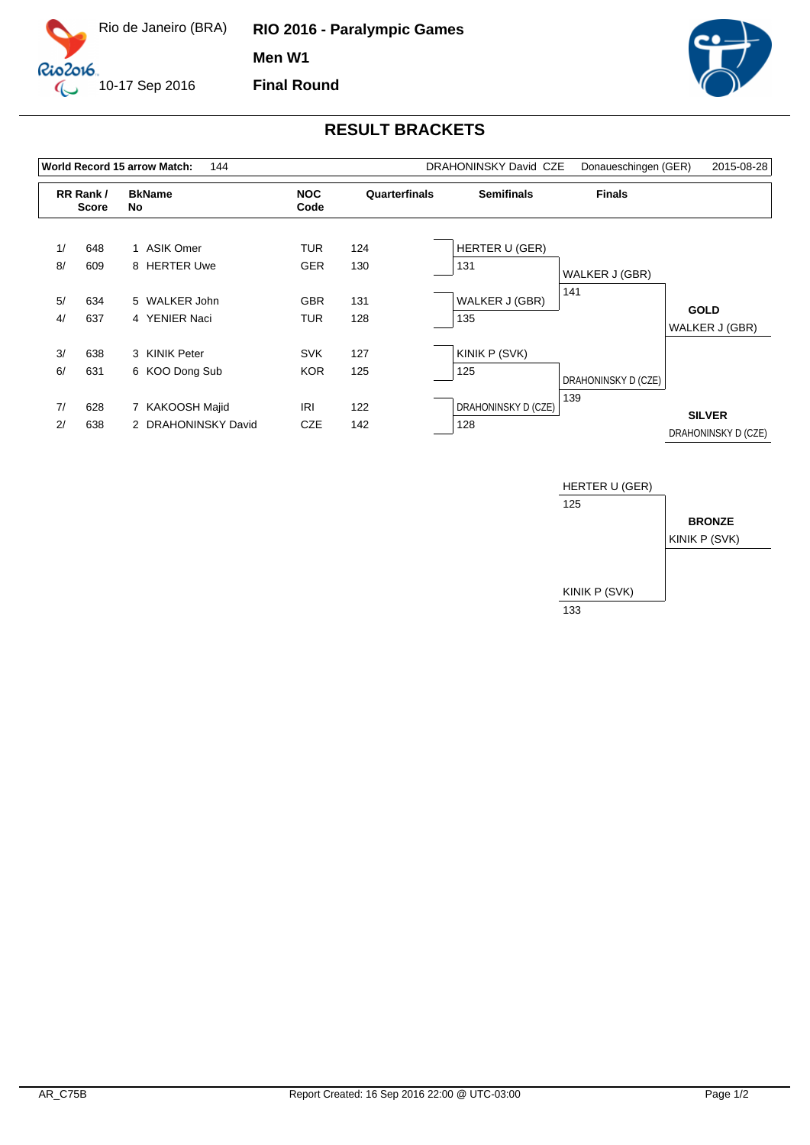

**RIO 2016 - Paralympic Games Men W1 Final Round**



## **RESULT BRACKETS**

| <b>World Record 15 arrow Match:</b><br>144 |                          |                                        |                          |               | <b>DRAHONINSKY David CZE</b> | Donaueschingen (GER) | 2015-08-28                           |
|--------------------------------------------|--------------------------|----------------------------------------|--------------------------|---------------|------------------------------|----------------------|--------------------------------------|
|                                            | RR Rank/<br><b>Score</b> | <b>BkName</b><br>No                    | <b>NOC</b><br>Code       | Quarterfinals | <b>Semifinals</b>            | <b>Finals</b>        |                                      |
| 1/<br>8/                                   | 648<br>609               | 1 ASIK Omer<br>8 HERTER Uwe            | <b>TUR</b><br><b>GER</b> | 124<br>130    | HERTER U (GER)<br>131        | WALKER J (GBR)       |                                      |
| 5/<br>4/                                   | 634<br>637               | 5 WALKER John<br>4 YENIER Naci         | <b>GBR</b><br><b>TUR</b> | 131<br>128    | WALKER J (GBR)<br>135        | 141                  | <b>GOLD</b><br>WALKER J (GBR)        |
| 3/<br>6/                                   | 638<br>631               | 3 KINIK Peter<br>6 KOO Dong Sub        | <b>SVK</b><br><b>KOR</b> | 127<br>125    | KINIK P (SVK)<br>125         | DRAHONINSKY D (CZE)  |                                      |
| 7/<br>2/                                   | 628<br>638               | 7 KAKOOSH Majid<br>2 DRAHONINSKY David | <b>IRI</b><br><b>CZE</b> | 122<br>142    | DRAHONINSKY D (CZE)<br>128   | 139                  | <b>SILVER</b><br>DRAHONINSKY D (CZE) |